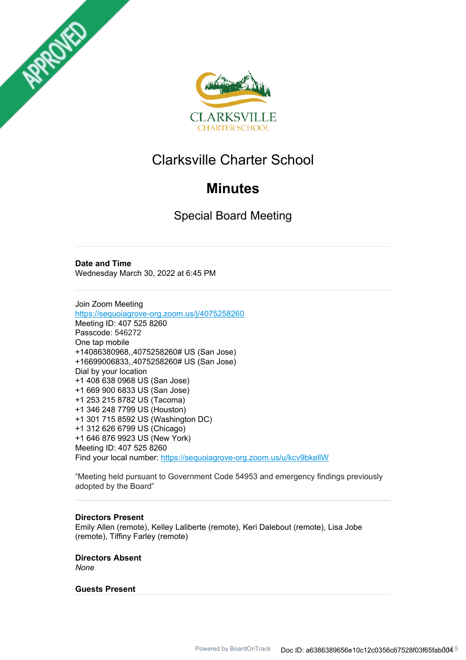



# Clarksville Charter School

# **Minutes**

Special Board Meeting

**Date and Time** Wednesday March 30, 2022 at 6:45 PM

Join Zoom Meeting https://sequoiagrove-org.zoom.us/j/4075258260 Meeting ID: 407 525 8260 Passcode: 546272 One tap mobile +14086380968,,4075258260# US (San Jose) +16699006833,,4075258260# US (San Jose) Dial by your location +1 408 638 0968 US (San Jose) +1 669 900 6833 US (San Jose) +1 253 215 8782 US (Tacoma) +1 346 248 7799 US (Houston) +1 301 715 8592 US (Washington DC) +1 312 626 6799 US (Chicago) +1 646 876 9923 US (New York) Meeting ID: 407 525 8260 Find your local number: https://sequoiagrove-org.zoom.us/u/kcv9bkellW

"Meeting held pursuant to Government Code 54953 and emergency findings previously adopted by the Board"

## **Directors Present**

Emily Allen (remote), Kelley Laliberte (remote), Keri Dalebout (remote), Lisa Jobe (remote), Tiffiny Farley (remote)

**Directors Absent**

*None*

## **Guests Present**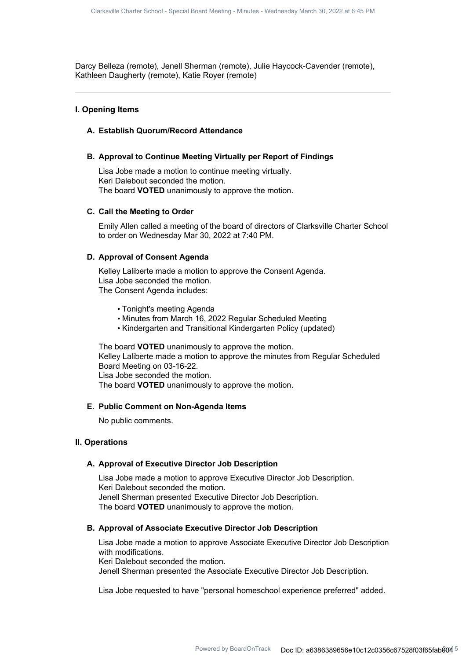Darcy Belleza (remote), Jenell Sherman (remote), Julie Haycock-Cavender (remote), Kathleen Daugherty (remote), Katie Royer (remote)

## **I. Opening Items**

### **A. Establish Quorum/Record Attendance**

## **B. Approval to Continue Meeting Virtually per Report of Findings**

Lisa Jobe made a motion to continue meeting virtually. Keri Dalebout seconded the motion. The board **VOTED** unanimously to approve the motion.

#### **C. Call the Meeting to Order**

Emily Allen called a meeting of the board of directors of Clarksville Charter School to order on Wednesday Mar 30, 2022 at 7:40 PM.

#### **D. Approval of Consent Agenda**

Kelley Laliberte made a motion to approve the Consent Agenda. Lisa Jobe seconded the motion. The Consent Agenda includes:

- Tonight's meeting Agenda
- Minutes from March 16, 2022 Regular Scheduled Meeting
- Kindergarten and Transitional Kindergarten Policy (updated)

The board **VOTED** unanimously to approve the motion. Kelley Laliberte made a motion to approve the minutes from Regular Scheduled Board Meeting on 03-16-22. Lisa Jobe seconded the motion. The board **VOTED** unanimously to approve the motion.

#### **E. Public Comment on Non-Agenda Items**

No public comments.

### **II. Operations**

#### **A. Approval of Executive Director Job Description**

Lisa Jobe made a motion to approve Executive Director Job Description. Keri Dalebout seconded the motion. Jenell Sherman presented Executive Director Job Description. The board **VOTED** unanimously to approve the motion.

#### **B. Approval of Associate Executive Director Job Description**

Lisa Jobe made a motion to approve Associate Executive Director Job Description with modifications. Keri Dalebout seconded the motion. Jenell Sherman presented the Associate Executive Director Job Description.

Lisa Jobe requested to have "personal homeschool experience preferred" added.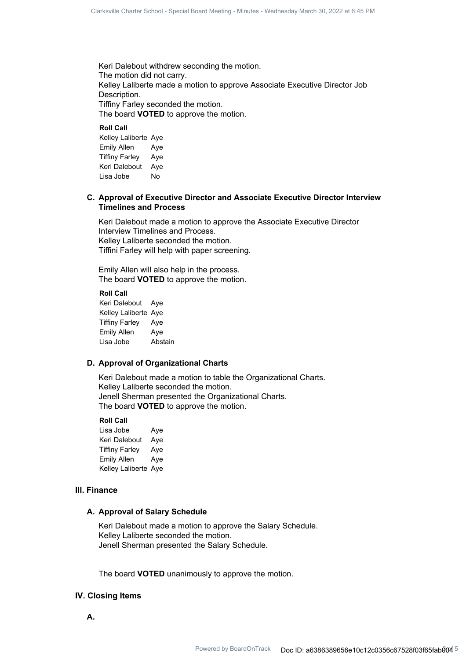Keri Dalebout withdrew seconding the motion. The motion did not carry. Kelley Laliberte made a motion to approve Associate Executive Director Job Description. Tiffiny Farley seconded the motion. The board **VOTED** to approve the motion.

## **Roll Call**

Kelley Laliberte Aye Emily Allen Aye Tiffiny Farley Aye Keri Dalebout Aye Lisa Jobe No

## **Approval of Executive Director and Associate Executive Director Interview C. Timelines and Process**

Keri Dalebout made a motion to approve the Associate Executive Director Interview Timelines and Process. Kelley Laliberte seconded the motion. Tiffini Farley will help with paper screening.

Emily Allen will also help in the process. The board **VOTED** to approve the motion.

#### **Roll Call**

Keri Dalebout Aye Kelley Laliberte Aye Tiffiny Farley Aye Emily Allen Aye Lisa Jobe Abstain

## **D. Approval of Organizational Charts**

Keri Dalebout made a motion to table the Organizational Charts. Kelley Laliberte seconded the motion. Jenell Sherman presented the Organizational Charts. The board **VOTED** to approve the motion.

#### **Roll Call**

Lisa Jobe Aye Keri Dalebout Aye Tiffiny Farley Aye Emily Allen Aye Kelley Laliberte Aye

#### **III. Finance**

## **A. Approval of Salary Schedule**

Keri Dalebout made a motion to approve the Salary Schedule. Kelley Laliberte seconded the motion. Jenell Sherman presented the Salary Schedule.

The board **VOTED** unanimously to approve the motion.

## **IV. Closing Items**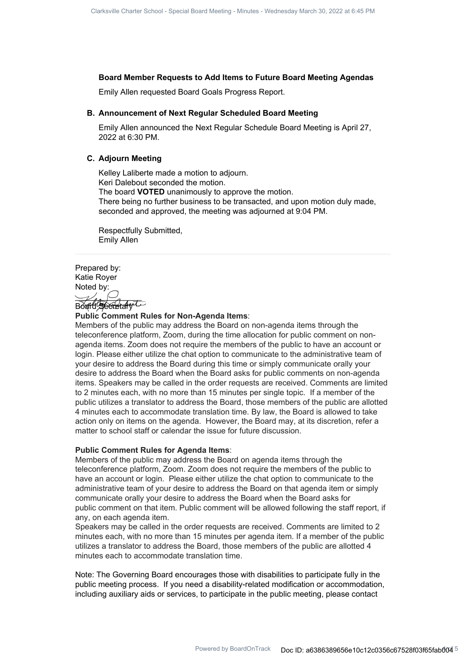## **Board Member Requests to Add Items to Future Board Meeting Agendas**

Emily Allen requested Board Goals Progress Report.

### **B. Announcement of Next Regular Scheduled Board Meeting**

Emily Allen announced the Next Regular Schedule Board Meeting is April 27, 2022 at 6:30 PM.

## **C.** Adjourn Meeting

Kelley Laliberte made a motion to adjourn. Keri Dalebout seconded the motion. The board **VOTED** unanimously to approve the motion. There being no further business to be transacted, and upon motion duly made, seconded and approved, the meeting was adjourned at 9:04 PM.

Respectfully Submitted, Emily Allen

Prepared by: Katie Royer Noted by:  $\mathcal{V}_{\ell n}$ 

Board Secretary L

#### **Public Comment Rules for Non-Agenda Items**:

Members of the public may address the Board on non-agenda items through the teleconference platform, Zoom, during the time allocation for public comment on nonagenda items. Zoom does not require the members of the public to have an account or login. Please either utilize the chat option to communicate to the administrative team of your desire to address the Board during this time or simply communicate orally your desire to address the Board when the Board asks for public comments on non-agenda items. Speakers may be called in the order requests are received. Comments are limited to 2 minutes each, with no more than 15 minutes per single topic. If a member of the public utilizes a translator to address the Board, those members of the public are allotted 4 minutes each to accommodate translation time. By law, the Board is allowed to take action only on items on the agenda. However, the Board may, at its discretion, refer a matter to school staff or calendar the issue for future discussion.

#### **Public Comment Rules for Agenda Items**:

Members of the public may address the Board on agenda items through the teleconference platform, Zoom. Zoom does not require the members of the public to have an account or login. Please either utilize the chat option to communicate to the administrative team of your desire to address the Board on that agenda item or simply communicate orally your desire to address the Board when the Board asks for public comment on that item. Public comment will be allowed following the staff report, if any, on each agenda item.

Speakers may be called in the order requests are received. Comments are limited to 2 minutes each, with no more than 15 minutes per agenda item. If a member of the public utilizes a translator to address the Board, those members of the public are allotted 4 minutes each to accommodate translation time.

Note: The Governing Board encourages those with disabilities to participate fully in the public meeting process. If you need a disability-related modification or accommodation, including auxiliary aids or services, to participate in the public meeting, please contact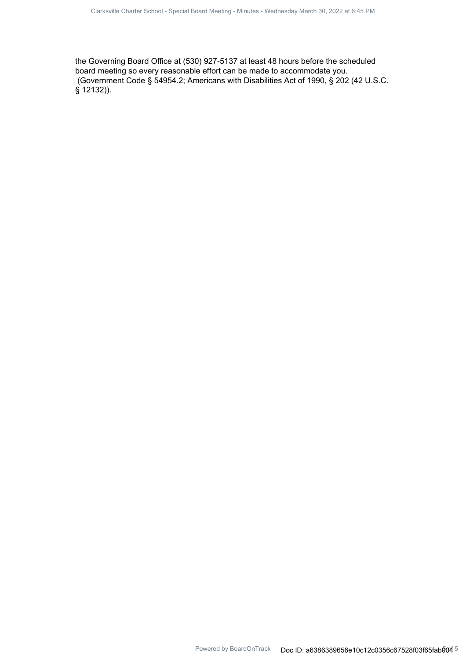the Governing Board Office at (530) 927-5137 at least 48 hours before the scheduled board meeting so every reasonable effort can be made to accommodate you. (Government Code § 54954.2; Americans with Disabilities Act of 1990, § 202 (42 U.S.C. § 12132)).